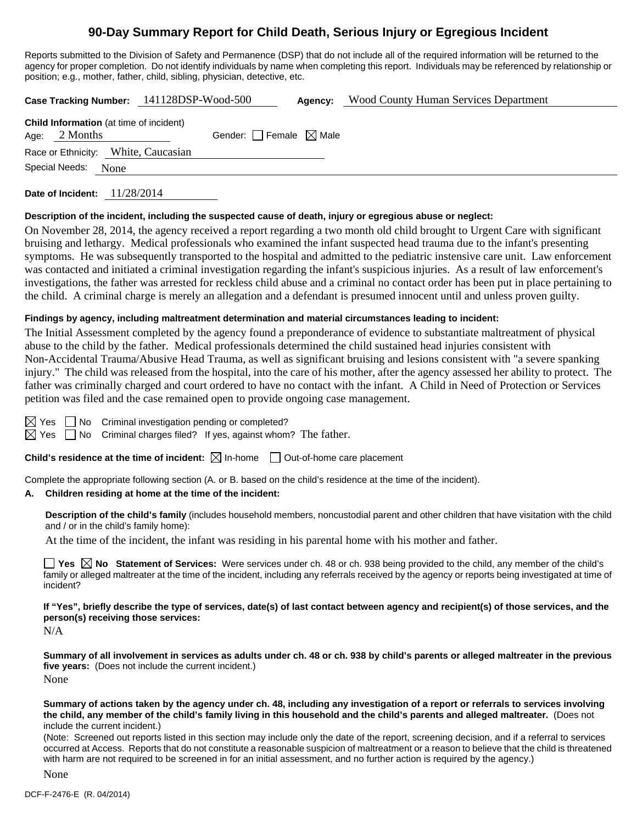# **90-Day Summary Report for Child Death, Serious Injury or Egregious Incident**

Reports submitted to the Division of Safety and Permanence (DSP) that do not include all of the required information will be returned to the agency for proper completion. Do not identify individuals by name when completing this report. Individuals may be referenced by relationship or position; e.g., mother, father, child, sibling, physician, detective, etc.

|                                                                   | Case Tracking Number: 141128DSP-Wood-500 | <b>Agency:</b> Wood County Human Services Department |
|-------------------------------------------------------------------|------------------------------------------|------------------------------------------------------|
| <b>Child Information</b> (at time of incident)<br>Age: $2$ Months | Gender: Female $\boxtimes$ Male          |                                                      |
| Race or Ethnicity: White, Caucasian                               |                                          |                                                      |
| Special Needs:<br>None                                            |                                          |                                                      |

**Date of Incident:** 11/28/2014

#### **Description of the incident, including the suspected cause of death, injury or egregious abuse or neglect:**

On November 28, 2014, the agency received a report regarding a two month old child brought to Urgent Care with significant bruising and lethargy. Medical professionals who examined the infant suspected head trauma due to the infant's presenting symptoms. He was subsequently transported to the hospital and admitted to the pediatric instensive care unit. Law enforcement was contacted and initiated a criminal investigation regarding the infant's suspicious injuries. As a result of law enforcement's investigations, the father was arrested for reckless child abuse and a criminal no contact order has been put in place pertaining to the child. A criminal charge is merely an allegation and a defendant is presumed innocent until and unless proven guilty.

### **Findings by agency, including maltreatment determination and material circumstances leading to incident:**

The Initial Assessment completed by the agency found a preponderance of evidence to substantiate maltreatment of physical abuse to the child by the father. Medical professionals determined the child sustained head injuries consistent with Non-Accidental Trauma/Abusive Head Trauma, as well as significant bruising and lesions consistent with "a severe spanking injury." The child was released from the hospital, into the care of his mother, after the agency assessed her ability to protect. The father was criminally charged and court ordered to have no contact with the infant. A Child in Need of Protection or Services petition was filed and the case remained open to provide ongoing case management.

 $\boxtimes$  Yes  $\Box$  No Criminal investigation pending or completed?

 $\boxtimes$  Yes  $\Box$  No Criminal charges filed? If yes, against whom? The father.

**Child's residence at the time of incident:**  $\boxtimes$  In-home  $\Box$  Out-of-home care placement

Complete the appropriate following section (A. or B. based on the child's residence at the time of the incident).

### **A. Children residing at home at the time of the incident:**

**Description of the child's family** (includes household members, noncustodial parent and other children that have visitation with the child and / or in the child's family home):

At the time of the incident, the infant was residing in his parental home with his mother and father.

**Yes**  $\boxtimes$  **No** Statement of Services: Were services under ch. 48 or ch. 938 being provided to the child, any member of the child's family or alleged maltreater at the time of the incident, including any referrals received by the agency or reports being investigated at time of incident?

**If "Yes", briefly describe the type of services, date(s) of last contact between agency and recipient(s) of those services, and the person(s) receiving those services:** 

N/A

**Summary of all involvement in services as adults under ch. 48 or ch. 938 by child's parents or alleged maltreater in the previous five years:** (Does not include the current incident.)

None

**Summary of actions taken by the agency under ch. 48, including any investigation of a report or referrals to services involving the child, any member of the child's family living in this household and the child's parents and alleged maltreater.** (Does not include the current incident.)

(Note: Screened out reports listed in this section may include only the date of the report, screening decision, and if a referral to services occurred at Access. Reports that do not constitute a reasonable suspicion of maltreatment or a reason to believe that the child is threatened with harm are not required to be screened in for an initial assessment, and no further action is required by the agency.)

None